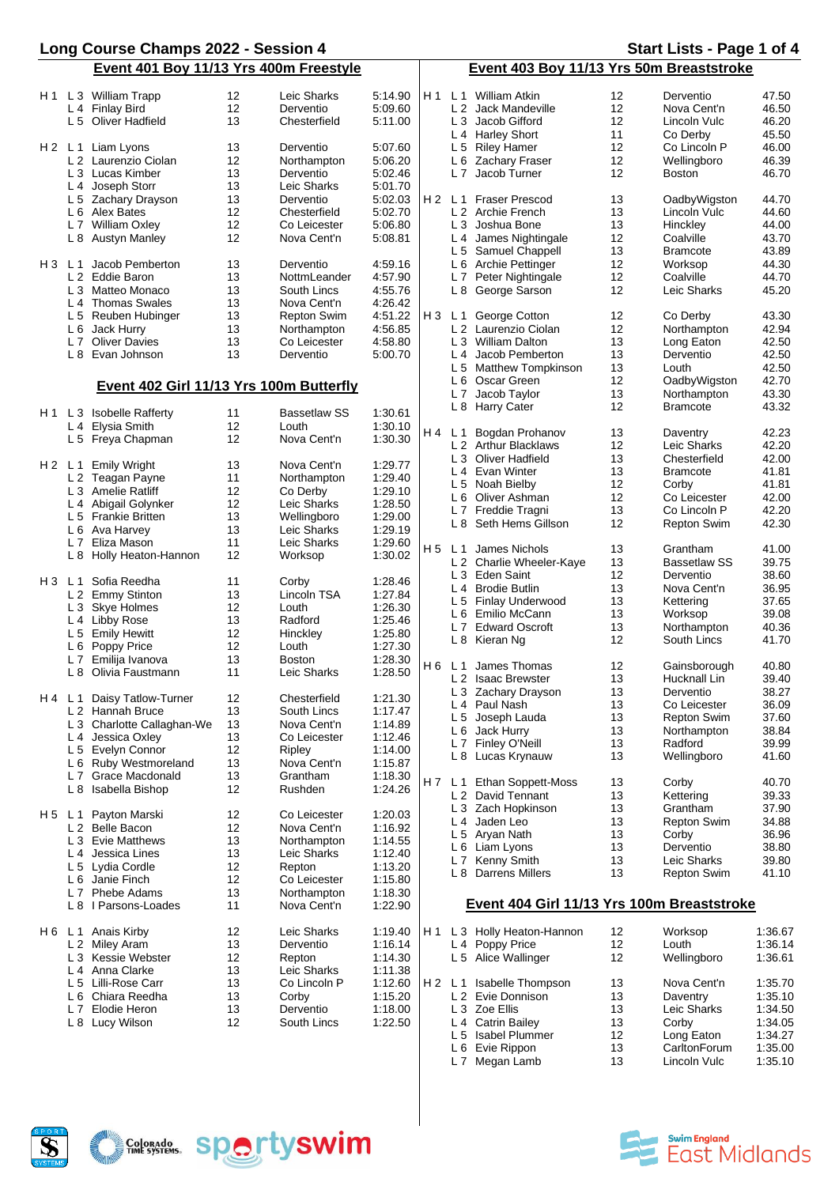|                                        | Long Course Champs 2022 - Session 4          |                     |         |       |                                          |                                            |                   | Start Lists - Page 1 of 4 |         |
|----------------------------------------|----------------------------------------------|---------------------|---------|-------|------------------------------------------|--------------------------------------------|-------------------|---------------------------|---------|
| Event 401 Boy 11/13 Yrs 400m Freestyle |                                              |                     |         |       | Event 403 Boy 11/13 Yrs 50m Breaststroke |                                            |                   |                           |         |
| H 1                                    | 12<br>L 3 William Trapp                      | Leic Sharks         | 5:14.90 | H 1   |                                          | L <sub>1</sub> William Atkin               | 12                | Derventio                 | 47.50   |
|                                        | 12<br>L 4 Finlay Bird                        | Derventio           | 5:09.60 |       |                                          | L 2 Jack Mandeville                        | 12                | Nova Cent'n               | 46.50   |
|                                        | L 5 Oliver Hadfield<br>13                    | Chesterfield        | 5:11.00 |       |                                          | L 3 Jacob Gifford                          | 12                | Lincoln Vulc              | 46.20   |
|                                        |                                              |                     |         |       |                                          | L <sub>4</sub> Harley Short                | 11                | Co Derby                  | 45.50   |
|                                        | 13<br>H 2 L 1 Liam Lyons                     | Derventio           | 5:07.60 |       |                                          | L 5 Riley Hamer                            | 12                | Co Lincoln P              | 46.00   |
|                                        | 12<br>L 2 Laurenzio Ciolan                   | Northampton         | 5:06.20 |       |                                          | L 6 Zachary Fraser                         | 12                | Wellingboro               | 46.39   |
|                                        | L 3 Lucas Kimber<br>13                       | Derventio           | 5:02.46 |       | L7                                       | Jacob Turner                               | 12                | <b>Boston</b>             | 46.70   |
|                                        | 13                                           |                     |         |       |                                          |                                            |                   |                           |         |
|                                        | L <sub>4</sub> Joseph Storr                  | Leic Sharks         | 5:01.70 |       |                                          |                                            |                   |                           |         |
|                                        | 13<br>L 5 Zachary Drayson                    | Derventio           | 5:02.03 | H 2   |                                          | L 1 Fraser Prescod                         | 13                | OadbyWigston              | 44.70   |
|                                        | 12<br>L 6 Alex Bates                         | Chesterfield        | 5:02.70 |       |                                          | L 2 Archie French                          | 13                | Lincoln Vulc              | 44.60   |
|                                        | 12<br>L 7 William Oxley                      | Co Leicester        | 5:06.80 |       |                                          | L 3 Joshua Bone                            | 13                | Hinckley                  | 44.00   |
|                                        | 12<br><b>Austyn Manley</b><br>L 8            | Nova Cent'n         | 5:08.81 |       | L 4                                      | James Nightingale                          | 12                | Coalville                 | 43.70   |
|                                        |                                              |                     |         |       |                                          | L 5 Samuel Chappell                        | 13                | <b>Bramcote</b>           | 43.89   |
| H3                                     | Jacob Pemberton<br>13<br>L 1                 | Derventio           | 4:59.16 |       |                                          | L 6 Archie Pettinger                       | $12 \overline{ }$ | Worksop                   | 44.30   |
|                                        | L 2 Eddie Baron<br>13                        | NottmLeander        | 4:57.90 |       |                                          | L 7 Peter Nightingale                      | 12                | Coalville                 | 44.70   |
|                                        | 13<br>L 3 Matteo Monaco                      | South Lincs         | 4:55.76 |       |                                          | L 8 George Sarson                          | 12                | Leic Sharks               | 45.20   |
|                                        | L 4 Thomas Swales<br>13                      | Nova Cent'n         | 4:26.42 |       |                                          |                                            |                   |                           |         |
|                                        | 13<br>L 5 Reuben Hubinger                    | <b>Repton Swim</b>  | 4:51.22 |       | H3 L1                                    | George Cotton                              | 12                | Co Derby                  | 43.30   |
|                                        | L 6 Jack Hurry<br>13                         | Northampton         | 4:56.85 |       |                                          | L 2 Laurenzio Ciolan                       | 12                | Northampton               | 42.94   |
|                                        | <b>Oliver Davies</b><br>13<br>L <sub>7</sub> | Co Leicester        | 4:58.80 |       |                                          | L 3 William Dalton                         | 13                | Long Eaton                | 42.50   |
|                                        | L 8 Evan Johnson<br>13                       | Derventio           | 5:00.70 |       |                                          | L <sub>4</sub> Jacob Pemberton             | 13                | Derventio                 | 42.50   |
|                                        |                                              |                     |         |       |                                          | L 5 Matthew Tompkinson                     | 13                | Louth                     | 42.50   |
|                                        |                                              |                     |         |       |                                          | L 6 Oscar Green                            | 12                | OadbyWigston              | 42.70   |
|                                        | Event 402 Girl 11/13 Yrs 100m Butterfly      |                     |         |       | L 7                                      | Jacob Taylor                               | 13                | Northampton               | 43.30   |
|                                        |                                              |                     |         |       |                                          | L 8 Harry Cater                            | 12                | <b>Bramcote</b>           | 43.32   |
| H 1                                    | L 3 Isobelle Rafferty<br>11                  | <b>Bassetlaw SS</b> | 1:30.61 |       |                                          |                                            |                   |                           |         |
|                                        | 12<br>L 4 Elysia Smith                       | Louth               | 1:30.10 | H4    | L <sub>1</sub>                           | Bogdan Prohanov                            | 13                | Daventry                  | 42.23   |
|                                        | 12<br>L 5 Freya Chapman                      | Nova Cent'n         | 1:30.30 |       |                                          | L 2 Arthur Blacklaws                       | 12                | Leic Sharks               | 42.20   |
|                                        |                                              |                     |         |       |                                          | L 3 Oliver Hadfield                        | 13                | Chesterfield              | 42.00   |
|                                        | H 2 L 1 Emily Wright<br>13                   | Nova Cent'n         | 1:29.77 |       |                                          | L 4 Evan Winter                            | 13                | <b>Bramcote</b>           | 41.81   |
|                                        | 11<br>L 2 Teagan Payne                       | Northampton         | 1:29.40 |       |                                          | L 5 Noah Bielby                            | 12                | Corby                     | 41.81   |
|                                        | 12<br>L 3 Amelie Ratliff                     | Co Derby            | 1:29.10 |       |                                          | L 6 Oliver Ashman                          | 12                | Co Leicester              | 42.00   |
|                                        | 12<br>L 4 Abigail Golynker                   | Leic Sharks         | 1:28.50 |       | L 7                                      | Freddie Tragni                             | 13                | Co Lincoln P              | 42.20   |
|                                        | 13<br>L 5 Frankie Britten                    | Wellingboro         | 1:29.00 |       |                                          | L 8 Seth Hems Gillson                      | 12                |                           | 42.30   |
|                                        | 13<br>L 6 Ava Harvey                         | Leic Sharks         | 1:29.19 |       |                                          |                                            |                   | <b>Repton Swim</b>        |         |
|                                        | 11<br>Eliza Mason<br>L <sub>7</sub>          | Leic Sharks         | 1:29.60 |       |                                          |                                            |                   |                           |         |
|                                        | 12<br>L 8 Holly Heaton-Hannon                | Worksop             | 1:30.02 | H 5   | L <sub>1</sub>                           | James Nichols                              | 13                | Grantham                  | 41.00   |
|                                        |                                              |                     |         |       |                                          | L 2 Charlie Wheeler-Kaye                   | 13                | <b>Bassetlaw SS</b>       | 39.75   |
|                                        | Sofia Reedha<br>H3 L1<br>11                  | Corby               | 1:28.46 |       |                                          | L 3 Eden Saint                             | 12                | Derventio                 | 38.60   |
|                                        | 13<br>L 2 Emmy Stinton                       | Lincoln TSA         | 1:27.84 |       | L <sub>4</sub>                           | <b>Brodie Butlin</b>                       | 13                | Nova Cent'n               | 36.95   |
|                                        | 12<br>L 3 Skye Holmes                        | Louth               | 1:26.30 |       | L 5                                      | Finlay Underwood                           | 13                | Kettering                 | 37.65   |
|                                        | L 4 Libby Rose<br>13                         | Radford             | 1:25.46 |       | L 6                                      | Emilio McCann                              | 13                | Worksop                   | 39.08   |
|                                        | 12<br><b>Emily Hewitt</b><br>L 5             | Hinckley            | 1:25.80 |       | L 7                                      | <b>Edward Oscroft</b>                      | 13                | Northampton               | 40.36   |
|                                        | 12<br>L 6<br>Poppy Price                     | Louth               | 1:27.30 |       |                                          | L 8 Kieran Ng                              | 12                | South Lincs               | 41.70   |
|                                        | 13<br>L 7 Emilija Ivanova                    | <b>Boston</b>       | 1:28.30 |       |                                          |                                            |                   |                           |         |
|                                        | 11<br>L 8<br>Olivia Faustmann                | Leic Sharks         | 1:28.50 | H 6   |                                          | L <sub>1</sub> James Thomas                | 12                | Gainsborough              | 40.80   |
|                                        |                                              |                     |         |       |                                          | L 2 Isaac Brewster                         | 13                | Hucknall Lin              | 39.40   |
|                                        | 12<br>Daisy Tatlow-Turner<br>H4 L1           | Chesterfield        | 1:21.30 |       |                                          | L 3 Zachary Drayson                        | 13                | Derventio                 | 38.27   |
|                                        | 13<br>L 2 Hannah Bruce                       | South Lincs         | 1:17.47 |       | L 4                                      | Paul Nash                                  | 13                | Co Leicester              | 36.09   |
|                                        | L 3 Charlotte Callaghan-We<br>13             | Nova Cent'n         | 1:14.89 |       |                                          | L 5 Joseph Lauda                           | 13                | <b>Repton Swim</b>        | 37.60   |
|                                        | Jessica Oxley<br>13<br>L <sub>4</sub>        | Co Leicester        | 1:12.46 |       | L 6                                      | Jack Hurry                                 | 13                | Northampton               | 38.84   |
|                                        | L 5 Evelyn Connor<br>12                      | Ripley              | 1:14.00 |       | L 7                                      | Finley O'Neill                             | 13                | Radford                   | 39.99   |
|                                        | L 6 Ruby Westmoreland<br>13                  | Nova Cent'n         | 1:15.87 |       |                                          | L 8 Lucas Krynauw                          | 13                | Wellingboro               | 41.60   |
|                                        | L 7 Grace Macdonald<br>13                    | Grantham            | 1:18.30 |       |                                          |                                            |                   |                           |         |
|                                        | 12<br>L 8 Isabella Bishop                    | Rushden             | 1:24.26 | H 7   | L <sub>1</sub>                           | <b>Ethan Soppett-Moss</b>                  | 13                | Corby                     | 40.70   |
|                                        |                                              |                     |         |       |                                          | L 2 David Tennant                          | 13                | Kettering                 | 39.33   |
|                                        |                                              |                     |         |       |                                          | L 3 Zach Hopkinson                         | 13                | Grantham                  | 37.90   |
| H 5                                    | Payton Marski<br>12<br>L 1                   | Co Leicester        | 1:20.03 |       | L 4                                      | Jaden Leo                                  | 13                | <b>Repton Swim</b>        | 34.88   |
|                                        | 12<br>L 2 Belle Bacon                        | Nova Cent'n         | 1:16.92 |       |                                          | L 5 Aryan Nath                             | 13                | Corby                     | 36.96   |
|                                        | L 3 Evie Matthews<br>13                      | Northampton         | 1:14.55 |       | L 6                                      | Liam Lyons                                 | 13                | Derventio                 | 38.80   |
|                                        | 13<br>L 4 Jessica Lines                      | Leic Sharks         | 1:12.40 |       |                                          | L 7 Kenny Smith                            | 13                | Leic Sharks               | 39.80   |
|                                        | 12<br>L 5 Lydia Cordle                       | Repton              | 1:13.20 |       |                                          | L 8 Darrens Millers                        | 13                | <b>Repton Swim</b>        | 41.10   |
|                                        | 12<br>L 6 Janie Finch                        | Co Leicester        | 1:15.80 |       |                                          |                                            |                   |                           |         |
|                                        | 13<br>Phebe Adams<br>L 7                     | Northampton         | 1:18.30 |       |                                          |                                            |                   |                           |         |
|                                        | I Parsons-Loades<br>11<br>L 8                | Nova Cent'n         | 1:22.90 |       |                                          | Event 404 Girl 11/13 Yrs 100m Breaststroke |                   |                           |         |
| H 6                                    | Anais Kirby<br>12<br>L 1                     | Leic Sharks         | 1:19.40 | H 1   |                                          | L 3 Holly Heaton-Hannon                    | 12                | Worksop                   | 1:36.67 |
|                                        | L 2 Miley Aram<br>13                         | Derventio           | 1:16.14 |       |                                          | L 4 Poppy Price                            | 12                | Louth                     | 1:36.14 |
|                                        | 12<br>L 3 Kessie Webster                     | Repton              | 1:14.30 |       |                                          | L 5 Alice Wallinger                        | 12                | Wellingboro               | 1:36.61 |
|                                        | L <sub>4</sub> Anna Clarke<br>13             | Leic Sharks         | 1:11.38 |       |                                          |                                            |                   |                           |         |
|                                        | 13<br>L 5 Lilli-Rose Carr                    | Co Lincoln P        | 1:12.60 | H2 L1 |                                          | <b>Isabelle Thompson</b>                   | 13                | Nova Cent'n               | 1:35.70 |
|                                        | L 6 Chiara Reedha<br>13                      | Corby               | 1:15.20 |       |                                          | L 2 Evie Donnison                          | 13                | Daventry                  | 1:35.10 |
|                                        | Elodie Heron<br>13<br>L <sub>7</sub>         | Derventio           | 1:18.00 |       |                                          | L 3 Zoe Ellis                              | 13                | Leic Sharks               | 1:34.50 |
|                                        | Lucy Wilson<br>12<br>L 8                     | South Lincs         | 1:22.50 |       |                                          | L 4 Catrin Bailey                          | 13                | Corby                     | 1:34.05 |
|                                        |                                              |                     |         |       |                                          | L 5 Isabel Plummer                         | 12                | Long Eaton                | 1:34.27 |
|                                        |                                              |                     |         |       |                                          | L 6 Evie Rippon                            | 13                | CarltonForum              | 1:35.00 |





L 7 Megan Lamb 13 Lincoln Vulc 1:35.10

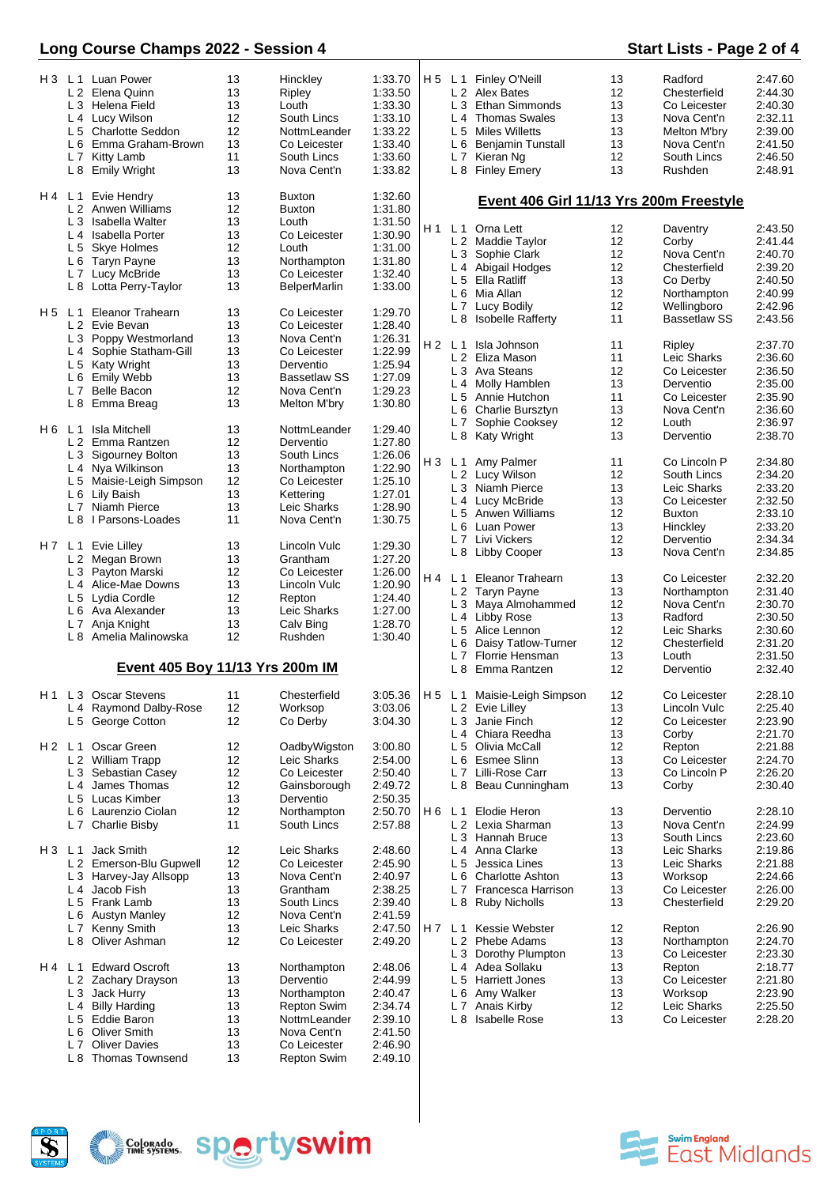# **Long Course Champs 2022 - Session 4 Start Lists - Page 2 of 4**

|       | L 6<br>L <sub>7</sub>                                     | H 3 L 1 Luan Power<br>L 2 Elena Quinn<br>L 3 Helena Field<br>L 4 Lucy Wilson<br>L 5 Charlotte Seddon<br>Emma Graham-Brown<br>Kitty Lamb<br>L 8 Emily Wright                                                         | 13<br>13<br>13<br>12<br>12<br>13<br>11<br>13             | Hinckley<br>Ripley<br>Louth<br>South Lincs<br>NottmLeander<br>Co Leicester<br>South Lincs<br>Nova Cent'n                                               | 1:33.70<br>1:33.50<br>1:33.30<br>1:33.10<br>1:33.22<br>1:33.40<br>1:33.60<br>1:33.82                       |     | L <sub>3</sub><br>L <sub>5</sub> | H 5 L 1 Finley O'Neill<br>L 2 Alex Bates<br><b>Ethan Simmonds</b><br>L <sub>4</sub> Thomas Swales<br>Miles Willetts<br>L 6 Benjamin Tunstall<br>L 7 Kieran Ng<br>L 8 Finley Emery                          | 13<br>12<br>13<br>13<br>13<br>13<br>12<br>13          | Radford<br>Chesterfield<br>Co Leicester<br>Nova Cent'n<br>Melton M'bry<br>Nova Cent'n<br>South Lincs<br><b>Rushden</b>    | 2:47.60<br>2:44.30<br>2:40.30<br>2:32.11<br>2:39.00<br>2:41.50<br>2:46.50<br>2:48.91            |
|-------|-----------------------------------------------------------|---------------------------------------------------------------------------------------------------------------------------------------------------------------------------------------------------------------------|----------------------------------------------------------|--------------------------------------------------------------------------------------------------------------------------------------------------------|------------------------------------------------------------------------------------------------------------|-----|----------------------------------|------------------------------------------------------------------------------------------------------------------------------------------------------------------------------------------------------------|-------------------------------------------------------|---------------------------------------------------------------------------------------------------------------------------|-------------------------------------------------------------------------------------------------|
| H4 L1 | L <sub>3</sub><br>L <sub>5</sub><br>H5 L1                 | Evie Hendry<br>L 2 Anwen Williams<br>Isabella Walter<br>L <sub>4</sub> Isabella Porter<br>Skye Holmes<br>L 6 Taryn Payne<br>L 7 Lucy McBride<br>L 8 Lotta Perry-Taylor<br><b>Eleanor Trahearn</b><br>L 2 Evie Bevan | 13<br>12<br>13<br>13<br>12<br>13<br>13<br>13<br>13<br>13 | <b>Buxton</b><br><b>Buxton</b><br>Louth<br>Co Leicester<br>Louth<br>Northampton<br>Co Leicester<br><b>BelperMarlin</b><br>Co Leicester<br>Co Leicester | 1:32.60<br>1:31.80<br>1:31.50<br>1:30.90<br>1:31.00<br>1:31.80<br>1:32.40<br>1:33.00<br>1:29.70<br>1:28.40 |     |                                  | Event 406 Girl 11/13 Yrs 200m Freestyle<br>H1 L1 Orna Lett<br>L 2 Maddie Taylor<br>L 3 Sophie Clark<br>L 4 Abigail Hodges<br>L 5 Ella Ratliff<br>L 6 Mia Allan<br>L 7 Lucy Bodily<br>L 8 Isobelle Rafferty | 12<br>12<br>12<br>12<br>13<br>12<br>12<br>11          | Daventry<br>Corby<br>Nova Cent'n<br>Chesterfield<br>Co Derby<br>Northampton<br>Wellingboro<br><b>Bassetlaw SS</b>         | 2:43.50<br>2:41.44<br>2:40.70<br>2:39.20<br>2:40.50<br>2:40.99<br>2:42.96<br>2:43.56            |
|       | $L_4$<br>L <sub>7</sub><br>L 8                            | L 3 Poppy Westmorland<br>Sophie Statham-Gill<br>L 5 Katy Wright<br>L 6 Emily Webb<br><b>Belle Bacon</b><br>Emma Breag<br>H 6 L 1 Isla Mitchell                                                                      | 13<br>13<br>13<br>13<br>12<br>13<br>13                   | Nova Cent'n<br>Co Leicester<br>Derventio<br><b>Bassetlaw SS</b><br>Nova Cent'n<br>Melton M'bry<br>NottmLeander                                         | 1:26.31<br>1:22.99<br>1:25.94<br>1:27.09<br>1:29.23<br>1:30.80<br>1:29.40                                  |     | L 7                              | H 2 L 1 Isla Johnson<br>L 2 Eliza Mason<br>L 3 Ava Steans<br>L 4 Molly Hamblen<br>L 5 Annie Hutchon<br>L 6 Charlie Bursztvn<br>Sophie Cooksey                                                              | 11<br>11<br>12<br>13<br>11<br>13<br>$12 \overline{ }$ | Ripley<br>Leic Sharks<br>Co Leicester<br>Derventio<br>Co Leicester<br>Nova Cent'n<br>Louth                                | 2:37.70<br>2:36.60<br>2:36.50<br>2:35.00<br>2:35.90<br>2:36.60<br>2:36.97                       |
|       |                                                           | L 2 Emma Rantzen<br>L 3 Sigourney Bolton<br>L 4 Nya Wilkinson<br>L 5 Maisie-Leigh Simpson<br>L 6 Lily Baish<br>L 7 Niamh Pierce<br>L 8   Parsons-Loades                                                             | 12<br>13<br>13<br>12<br>13<br>13<br>11                   | Derventio<br>South Lincs<br>Northampton<br>Co Leicester<br>Kettering<br>Leic Sharks<br>Nova Cent'n                                                     | 1:27.80<br>1:26.06<br>1:22.90<br>1:25.10<br>1:27.01<br>1:28.90<br>1:30.75                                  |     |                                  | L 8 Katy Wright<br>H 3 L 1 Amy Palmer<br>L 2 Lucy Wilson<br>L 3 Niamh Pierce<br>L 4 Lucy McBride<br>L 5 Anwen Williams<br>L 6 Luan Power                                                                   | 13<br>11<br>12<br>13<br>13<br>12<br>13                | Derventio<br>Co Lincoln P<br>South Lincs<br>Leic Sharks<br>Co Leicester<br><b>Buxton</b><br>Hinckley                      | 2:38.70<br>2:34.80<br>2:34.20<br>2:33.20<br>2:32.50<br>2:33.10<br>2:33.20                       |
| H7 L1 | L <sub>4</sub><br>L 6<br>L <sub>7</sub><br>L <sub>8</sub> | Evie Lilley<br>L 2 Megan Brown<br>L 3 Payton Marski<br>Alice-Mae Downs<br>L 5 Lydia Cordle<br>Ava Alexander<br>Anja Knight<br>Amelia Malinowska                                                                     | 13<br>13<br>12<br>13<br>12<br>13<br>13<br>12             | Lincoln Vulc<br>Grantham<br>Co Leicester<br>Lincoln Vulc<br>Repton<br>Leic Sharks<br>Calv Bing<br>Rushden                                              | 1:29.30<br>1:27.20<br>1:26.00<br>1:20.90<br>1:24.40<br>1:27.00<br>1:28.70<br>1:30.40                       | H 4 | L <sub>6</sub><br>L <sub>7</sub> | L 7 Livi Vickers<br>L 8 Libby Cooper<br>L <sub>1</sub> Eleanor Trahearn<br>L 2 Taryn Payne<br>L 3 Maya Almohammed<br>L 4 Libby Rose<br>L 5 Alice Lennon<br>Daisy Tatlow-Turner<br>Florrie Hensman          | 12<br>13<br>13<br>13<br>12<br>13<br>12<br>12<br>13    | Derventio<br>Nova Cent'n<br>Co Leicester<br>Northampton<br>Nova Cent'n<br>Radford<br>Leic Sharks<br>Chesterfield<br>Louth | 2:34.34<br>2:34.85<br>2:32.20<br>2:31.40<br>2:30.70<br>2:30.50<br>2:30.60<br>2:31.20<br>2:31.50 |
|       |                                                           | <b>Event 405 Boy 11/13 Yrs 200m IM</b>                                                                                                                                                                              |                                                          |                                                                                                                                                        |                                                                                                            |     | L8                               | Emma Rantzen                                                                                                                                                                                               | 12                                                    | Derventio                                                                                                                 | 2:32.40                                                                                         |
|       |                                                           | H1 L3 Oscar Stevens<br>L 4 Raymond Dalby-Rose<br>L 5 George Cotton                                                                                                                                                  | 11<br>12<br>12                                           | Chesterfield<br>Worksop<br>Co Derby                                                                                                                    | 3:03.06<br>3:04.30                                                                                         |     |                                  | 3:05.36   H 5 L 1 Maisie-Leigh Simpson<br>L 2 Evie Lilley<br>L 3 Janie Finch<br>L 4 Chiara Reedha                                                                                                          | 12<br>13<br>12<br>13                                  | Co Leicester<br>Lincoln Vulc<br>Co Leicester<br>Corby                                                                     | 2:28.10<br>2:25.40<br>2:23.90<br>2:21.70                                                        |
| H2 L1 |                                                           | Oscar Green<br>L 2 William Trapp<br>L 3 Sebastian Casey<br>L <sub>4</sub> James Thomas<br>L 5 Lucas Kimber<br>L 6 Laurenzio Ciolan<br>L 7 Charlie Bisby                                                             | 12<br>12<br>12<br>12<br>13<br>12<br>11                   | OadbyWigston<br>Leic Sharks<br>Co Leicester<br>Gainsborough<br>Derventio<br>Northampton<br>South Lincs                                                 | 3:00.80<br>2:54.00<br>2:50.40<br>2:49.72<br>2:50.35<br>2:50.70<br>2:57.88                                  |     |                                  | L 5 Olivia McCall<br>L 6 Esmee Slinn<br>L 7 Lilli-Rose Carr<br>L 8 Beau Cunningham<br>H 6 L 1 Elodie Heron<br>L 2 Lexia Sharman                                                                            | 12<br>13<br>13<br>13<br>13<br>13                      | Repton<br>Co Leicester<br>Co Lincoln P<br>Corby<br>Derventio<br>Nova Cent'n                                               | 2:21.88<br>2:24.70<br>2:26.20<br>2:30.40<br>2:28.10<br>2:24.99                                  |
| H3L1  |                                                           | Jack Smith<br>L 2 Emerson-Blu Gupwell<br>L 3 Harvey-Jay Allsopp<br>L 4 Jacob Fish<br>L 5 Frank Lamb<br>L 6 Austyn Manley<br>L 7 Kenny Smith                                                                         | 12<br>12<br>13<br>13<br>13<br>12<br>13                   | Leic Sharks<br>Co Leicester<br>Nova Cent'n<br>Grantham<br>South Lincs<br>Nova Cent'n<br>Leic Sharks                                                    | 2:48.60<br>2:45.90<br>2:40.97<br>2:38.25<br>2:39.40<br>2:41.59<br>2:47.50                                  |     |                                  | L 3 Hannah Bruce<br>L 4 Anna Clarke<br>L 5 Jessica Lines<br>L 6 Charlotte Ashton<br>L 7 Francesca Harrison<br>L 8 Ruby Nicholls<br>H7 L1 Kessie Webster                                                    | 13<br>13<br>13<br>13<br>13<br>13<br>12                | South Lincs<br>Leic Sharks<br>Leic Sharks<br>Worksop<br>Co Leicester<br>Chesterfield<br>Repton                            | 2:23.60<br>2:19.86<br>2:21.88<br>2:24.66<br>2:26.00<br>2:29.20<br>2:26.90                       |
| H4 L1 | L 6                                                       | L 8 Oliver Ashman<br><b>Edward Oscroft</b><br>L 2 Zachary Drayson<br>L 3 Jack Hurry<br>L 4 Billy Harding<br>L 5 Eddie Baron<br>Oliver Smith<br>L 7 Oliver Davies<br>L 8 Thomas Townsend                             | 12<br>13<br>13<br>13<br>13<br>13<br>13<br>13<br>13       | Co Leicester<br>Northampton<br>Derventio<br>Northampton<br><b>Repton Swim</b><br>NottmLeander<br>Nova Cent'n<br>Co Leicester<br><b>Repton Swim</b>     | 2:49.20<br>2:48.06<br>2:44.99<br>2:40.47<br>2:34.74<br>2:39.10<br>2:41.50<br>2:46.90<br>2:49.10            |     | L 8                              | L 2 Phebe Adams<br>L 3 Dorothy Plumpton<br>L 4 Adea Sollaku<br>L 5 Harriett Jones<br>L 6 Amy Walker<br>L 7 Anais Kirby<br><b>Isabelle Rose</b>                                                             | 13<br>13<br>13<br>13<br>13<br>12<br>13                | Northampton<br>Co Leicester<br>Repton<br>Co Leicester<br>Worksop<br>Leic Sharks<br>Co Leicester                           | 2:24.70<br>2:23.30<br>2:18.77<br>2:21.80<br>2:23.90<br>2:25.50<br>2:28.20                       |





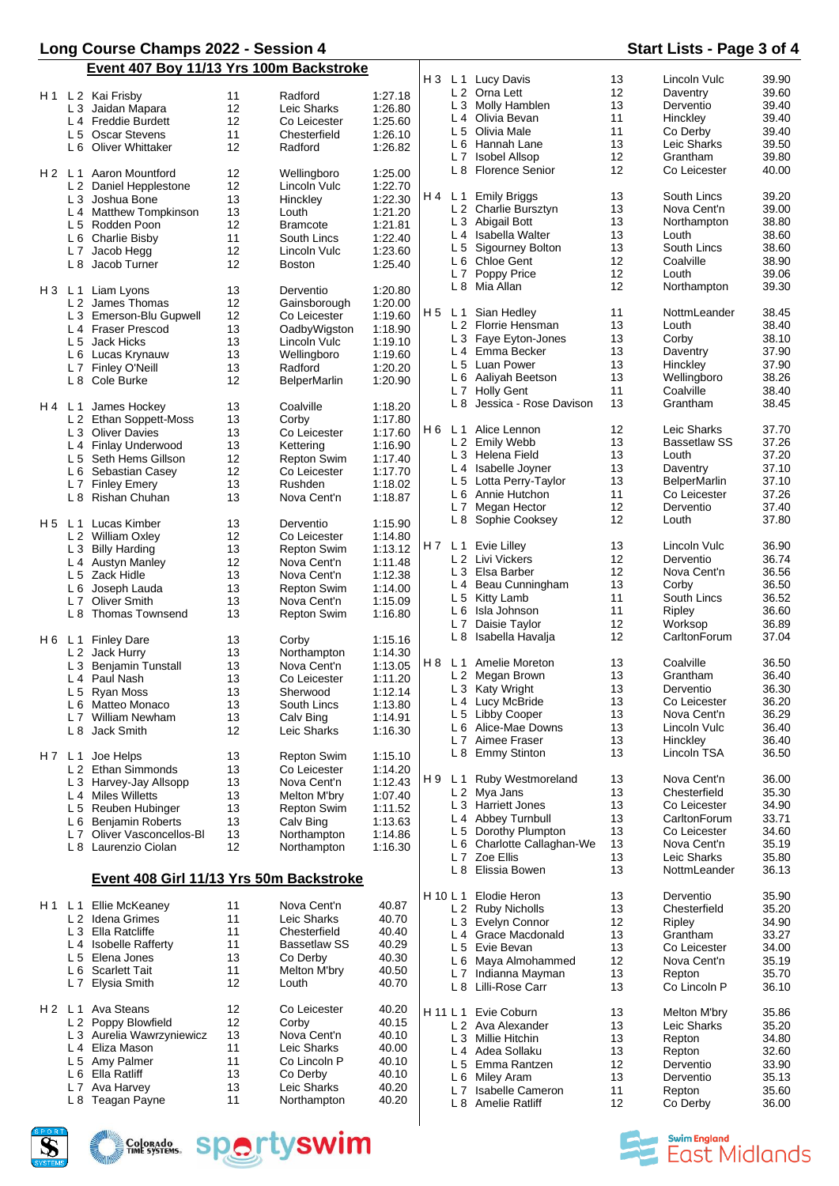### **Long Course Champs 2022 - Session 4 Start Lists - Page 3 of 4 Event 407 Boy 11/13 Yrs 100m Backstroke**

|       |                | נטש וטד אווטים                          |    | <b>THE BUSINESS IN THE USE OF LISTS</b> |         | H 3 |                | L 1 Lucy Davis                 | 13 | Lincoln Vulc        | 39.90 |
|-------|----------------|-----------------------------------------|----|-----------------------------------------|---------|-----|----------------|--------------------------------|----|---------------------|-------|
|       |                |                                         |    |                                         |         |     |                | L 2 Orna Lett                  | 12 | Daventry            | 39.60 |
|       |                | H 1 L 2 Kai Frisby                      | 11 | Radford                                 | 1:27.18 |     |                | L 3 Molly Hamblen              | 13 | Derventio           | 39.40 |
|       |                | L 3 Jaidan Mapara                       | 12 | Leic Sharks                             | 1:26.80 |     |                |                                | 11 |                     |       |
|       |                | L 4 Freddie Burdett                     | 12 | Co Leicester                            | 1:25.60 |     |                | L 4 Olivia Bevan               |    | Hinckley            | 39.40 |
|       |                | L 5 Oscar Stevens                       | 11 | Chesterfield                            | 1:26.10 |     |                | L 5 Olivia Male                | 11 | Co Derby            | 39.40 |
|       |                | L 6 Oliver Whittaker                    | 12 | Radford                                 | 1:26.82 |     |                | L 6 Hannah Lane                | 13 | Leic Sharks         | 39.50 |
|       |                |                                         |    |                                         |         |     |                | L 7 Isobel Allsop              | 12 | Grantham            | 39.80 |
| H2 L1 |                | Aaron Mountford                         | 12 | Wellingboro                             | 1:25.00 |     |                | L 8 Florence Senior            | 12 | Co Leicester        | 40.00 |
|       |                | L 2 Daniel Hepplestone                  | 12 | Lincoln Vulc                            | 1:22.70 |     |                |                                |    |                     |       |
|       |                | L 3 Joshua Bone                         | 13 | Hinckley                                | 1:22.30 | H 4 |                | L 1 Emily Briggs               | 13 | South Lincs         | 39.20 |
|       |                | L 4 Matthew Tompkinson                  | 13 | Louth                                   | 1:21.20 |     |                | L 2 Charlie Bursztyn           | 13 | Nova Cent'n         | 39.00 |
|       |                |                                         |    |                                         |         |     |                | L 3 Abigail Bott               | 13 | Northampton         | 38.80 |
|       |                | L 5 Rodden Poon                         | 12 | <b>Bramcote</b>                         | 1:21.81 |     |                | L <sub>4</sub> Isabella Walter | 13 | Louth               | 38.60 |
|       |                | L 6 Charlie Bisby                       | 11 | South Lincs                             | 1:22.40 |     |                |                                | 13 | South Lincs         | 38.60 |
|       |                | L 7 Jacob Hegg                          | 12 | Lincoln Vulc                            | 1:23.60 |     |                | L 5 Sigourney Bolton           |    |                     |       |
|       |                | L 8 Jacob Turner                        | 12 | <b>Boston</b>                           | 1:25.40 |     |                | L 6 Chloe Gent                 | 12 | Coalville           | 38.90 |
|       |                |                                         |    |                                         |         |     |                | L 7 Poppy Price                | 12 | Louth               | 39.06 |
|       |                | H 3 L 1 Liam Lyons                      | 13 | Derventio                               | 1:20.80 |     |                | L 8 Mia Allan                  | 12 | Northampton         | 39.30 |
|       |                | L 2 James Thomas                        | 12 | Gainsborough                            | 1:20.00 |     |                |                                |    |                     |       |
|       |                | L 3 Emerson-Blu Gupwell                 | 12 | Co Leicester                            | 1:19.60 | H 5 |                | L 1 Sian Hedley                | 11 | NottmLeander        | 38.45 |
|       |                | L 4 Fraser Prescod                      | 13 | OadbyWigston                            | 1:18.90 |     |                | L 2 Florrie Hensman            | 13 | Louth               | 38.40 |
|       |                |                                         |    |                                         |         |     |                | L 3 Faye Eyton-Jones           | 13 | Corby               | 38.10 |
|       |                | L 5 Jack Hicks                          | 13 | Lincoln Vulc                            | 1:19.10 |     |                | L <sub>4</sub> Emma Becker     | 13 | Daventry            | 37.90 |
|       |                | L 6 Lucas Krynauw                       | 13 | Wellingboro                             | 1:19.60 |     |                |                                | 13 |                     |       |
|       |                | L 7 Finley O'Neill                      | 13 | Radford                                 | 1:20.20 |     |                | L 5 Luan Power                 |    | Hinckley            | 37.90 |
|       |                | L 8 Cole Burke                          | 12 | <b>BelperMarlin</b>                     | 1:20.90 |     |                | L 6 Aaliyah Beetson            | 13 | Wellingboro         | 38.26 |
|       |                |                                         |    |                                         |         |     |                | L 7 Holly Gent                 | 11 | Coalville           | 38.40 |
| H4 L1 |                | James Hockey                            | 13 | Coalville                               | 1:18.20 |     |                | L 8 Jessica - Rose Davison     | 13 | Grantham            | 38.45 |
|       |                | L 2 Ethan Soppett-Moss                  | 13 | Corby                                   | 1:17.80 |     |                |                                |    |                     |       |
|       |                | L 3 Oliver Davies                       | 13 | Co Leicester                            | 1:17.60 | H 6 |                | L 1 Alice Lennon               | 12 | Leic Sharks         | 37.70 |
|       |                |                                         | 13 |                                         |         |     |                | L 2 Emily Webb                 | 13 | <b>Bassetlaw SS</b> | 37.26 |
|       |                | L 4 Finlay Underwood                    |    | Kettering                               | 1:16.90 |     |                | L 3 Helena Field               | 13 | Louth               | 37.20 |
|       |                | L 5 Seth Hems Gillson                   | 12 | <b>Repton Swim</b>                      | 1:17.40 |     |                |                                | 13 |                     |       |
|       |                | L 6 Sebastian Casey                     | 12 | Co Leicester                            | 1:17.70 |     |                | L 4 Isabelle Joyner            |    | Daventry            | 37.10 |
|       |                | L 7 Finley Emery                        | 13 | Rushden                                 | 1:18.02 |     |                | L 5 Lotta Perry-Taylor         | 13 | <b>BelperMarlin</b> | 37.10 |
|       |                | L 8 Rishan Chuhan                       | 13 | Nova Cent'n                             | 1:18.87 |     |                | L 6 Annie Hutchon              | 11 | Co Leicester        | 37.26 |
|       |                |                                         |    |                                         |         |     |                | L 7 Megan Hector               | 12 | Derventio           | 37.40 |
| H5 L1 |                | Lucas Kimber                            | 13 | Derventio                               | 1:15.90 |     |                | L 8 Sophie Cooksey             | 12 | Louth               | 37.80 |
|       |                | L 2 William Oxley                       | 12 | Co Leicester                            | 1:14.80 |     |                |                                |    |                     |       |
|       |                | L 3 Billy Harding                       | 13 |                                         | 1:13.12 |     |                | H7 L1 Evie Lilley              | 13 | Lincoln Vulc        | 36.90 |
|       |                |                                         |    | <b>Repton Swim</b>                      |         |     |                | L 2 Livi Vickers               | 12 | Derventio           | 36.74 |
|       |                | L 4 Austyn Manley                       | 12 | Nova Cent'n                             | 1:11.48 |     |                | L 3 Elsa Barber                | 12 | Nova Cent'n         | 36.56 |
|       |                | L 5 Zack Hidle                          | 13 | Nova Cent'n                             | 1:12.38 |     |                |                                |    |                     |       |
|       |                | L 6 Joseph Lauda                        | 13 | <b>Repton Swim</b>                      | 1:14.00 |     |                | L 4 Beau Cunningham            | 13 | Corby               | 36.50 |
|       | L <sub>7</sub> | <b>Oliver Smith</b>                     | 13 | Nova Cent'n                             | 1:15.09 |     |                | L 5 Kitty Lamb                 | 11 | South Lincs         | 36.52 |
|       |                | L 8 Thomas Townsend                     | 13 | <b>Repton Swim</b>                      | 1:16.80 |     |                | L 6 Isla Johnson               | 11 | Ripley              | 36.60 |
|       |                |                                         |    |                                         |         |     |                | L 7 Daisie Taylor              | 12 | Worksop             | 36.89 |
|       |                | H6 L1 Finley Dare                       | 13 | Corby                                   | 1:15.16 |     |                | L 8 Isabella Havalja           | 12 | CarltonForum        | 37.04 |
|       |                | L 2 Jack Hurry                          | 13 | Northampton                             | 1:14.30 |     |                |                                |    |                     |       |
|       |                |                                         |    |                                         |         | H 8 | L <sub>1</sub> | Amelie Moreton                 | 13 | Coalville           | 36.50 |
|       |                | L 3 Benjamin Tunstall                   | 13 | Nova Cent'n                             | 1:13.05 |     |                | L 2 Megan Brown                | 13 | Grantham            | 36.40 |
|       |                | L 4 Paul Nash                           | 13 | Co Leicester                            | 1:11.20 |     |                |                                |    |                     |       |
|       |                | L 5 Ryan Moss                           | 13 | Sherwood                                | 1:12.14 |     |                | L 3 Katy Wright                | 13 | Derventio           | 36.30 |
|       |                | L 6 Matteo Monaco                       | 13 | South Lincs                             | 1:13.80 |     |                | L 4 Lucy McBride               | 13 | Co Leicester        | 36.20 |
|       |                | L 7 William Newham                      | 13 | Calv Bing                               | 1:14.91 |     |                | L 5 Libby Cooper               | 13 | Nova Cent'n         | 36.29 |
|       |                | L 8 Jack Smith                          | 12 | Leic Sharks                             | 1:16.30 |     |                | L 6 Alice-Mae Downs            | 13 | Lincoln Vulc        | 36.40 |
|       |                |                                         |    |                                         |         |     |                | L 7 Aimee Fraser               | 13 | Hinckley            | 36.40 |
| H7 L1 |                | Joe Helps                               | 13 | <b>Repton Swim</b>                      | 1:15.10 |     |                | L 8 Emmy Stinton               | 13 | Lincoln TSA         | 36.50 |
|       |                |                                         |    | Co Leicester                            |         |     |                |                                |    |                     |       |
|       |                | L 2 Ethan Simmonds                      | 13 |                                         | 1:14.20 | H 9 |                | L 1 Ruby Westmoreland          | 13 | Nova Cent'n         | 36.00 |
|       |                | L 3 Harvey-Jay Allsopp                  | 13 | Nova Cent'n                             | 1:12.43 |     |                | L 2 Mya Jans                   | 13 | Chesterfield        | 35.30 |
|       |                | L <sub>4</sub> Miles Willetts           | 13 | Melton M'bry                            | 1:07.40 |     |                | L 3 Harriett Jones             | 13 | Co Leicester        | 34.90 |
|       |                | L 5 Reuben Hubinger                     | 13 | <b>Repton Swim</b>                      | 1:11.52 |     |                |                                |    |                     |       |
|       |                | L 6 Benjamin Roberts                    | 13 | Calv Bing                               | 1:13.63 |     |                | L 4 Abbey Turnbull             | 13 | CarltonForum        | 33.71 |
|       |                | L 7 Oliver Vasconcellos-Bl              | 13 | Northampton                             | 1:14.86 |     |                | L 5 Dorothy Plumpton           | 13 | Co Leicester        | 34.60 |
|       |                | L 8 Laurenzio Ciolan                    | 12 | Northampton                             | 1:16.30 |     |                | L 6 Charlotte Callaghan-We     | 13 | Nova Cent'n         | 35.19 |
|       |                |                                         |    |                                         |         |     |                | L 7 Zoe Ellis                  | 13 | Leic Sharks         | 35.80 |
|       |                |                                         |    |                                         |         |     |                | L 8 Elissia Bowen              | 13 | NottmLeander        | 36.13 |
|       |                | Event 408 Girl 11/13 Yrs 50m Backstroke |    |                                         |         |     |                |                                |    |                     |       |
|       |                |                                         |    |                                         |         |     |                | H 10 L 1 Elodie Heron          | 13 | Derventio           | 35.90 |
|       |                | H1 L1 Ellie McKeaney                    | 11 | Nova Cent'n                             | 40.87   |     |                | L 2 Ruby Nicholls              | 13 | Chesterfield        | 35.20 |
|       |                | L 2 Idena Grimes                        | 11 | Leic Sharks                             | 40.70   |     |                | L 3 Evelyn Connor              | 12 | Ripley              | 34.90 |
|       |                | L 3 Ella Ratcliffe                      | 11 | Chesterfield                            | 40.40   |     |                |                                |    |                     |       |
|       |                | L 4 Isobelle Rafferty                   | 11 | <b>Bassetlaw SS</b>                     | 40.29   |     |                | L 4 Grace Macdonald            | 13 | Grantham            | 33.27 |
|       |                | L 5 Elena Jones                         | 13 | Co Derby                                | 40.30   |     |                | L 5 Evie Bevan                 | 13 | Co Leicester        | 34.00 |
|       |                |                                         |    |                                         |         |     |                | L 6 Maya Almohammed            | 12 | Nova Cent'n         | 35.19 |
|       |                | L 6 Scarlett Tait                       | 11 | Melton M'bry                            | 40.50   |     |                | L 7 Indianna Mayman            | 13 | Repton              | 35.70 |
|       | L <sub>7</sub> | Elysia Smith                            | 12 | Louth                                   | 40.70   |     |                | L 8 Lilli-Rose Carr            | 13 | Co Lincoln P        | 36.10 |
|       |                |                                         |    |                                         |         |     |                |                                |    |                     |       |
| H2 L1 |                | Ava Steans                              | 12 | Co Leicester                            | 40.20   |     |                | H 11 L 1 Evie Coburn           | 13 | Melton M'bry        | 35.86 |
|       |                | L 2 Poppy Blowfield                     | 12 | Corby                                   | 40.15   |     |                | L 2 Ava Alexander              | 13 | Leic Sharks         | 35.20 |
|       |                | L 3 Aurelia Wawrzyniewicz               | 13 | Nova Cent'n                             | 40.10   |     |                | L 3 Millie Hitchin             | 13 | Repton              | 34.80 |
|       |                | L 4 Eliza Mason                         | 11 | Leic Sharks                             | 40.00   |     |                | L 4 Adea Sollaku               | 13 |                     | 32.60 |
|       |                | L 5 Amy Palmer                          | 11 | Co Lincoln P                            | 40.10   |     |                |                                |    | Repton              |       |
|       | L 6            | Ella Ratliff                            | 13 | Co Derby                                | 40.10   |     |                | L 5 Emma Rantzen               | 12 | Derventio           | 33.90 |
|       |                |                                         |    |                                         |         |     |                | L 6 Miley Aram                 | 13 | Derventio           | 35.13 |
|       |                | L 7 Ava Harvey                          | 13 | Leic Sharks                             | 40.20   |     |                | L 7 Isabelle Cameron           | 11 | Repton              | 35.60 |
|       |                | L 8 Teagan Payne                        | 11 | Northampton                             | 40.20   |     |                | L 8 Amelie Ratliff             | 12 | Co Derby            | 36.00 |

 $\overline{\phantom{a}}$ 

 $\mathbf{I}$